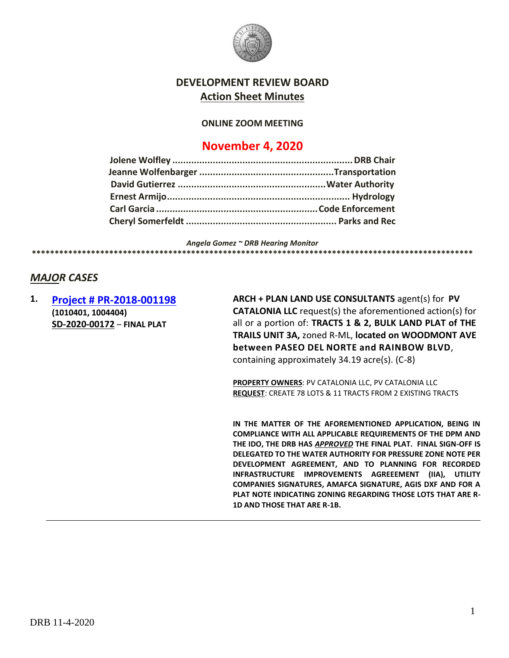

# **DEVELOPMENT REVIEW BOARD Action Sheet Minutes**

#### **ONLINE ZOOM MEETING**

# **November 4, 2020**

*Angela Gomez ~ DRB Hearing Monitor* **\*\*\*\*\*\*\*\*\*\*\*\*\*\*\*\*\*\*\*\*\*\*\*\*\*\*\*\*\*\*\*\*\*\*\*\*\*\*\*\*\*\*\*\*\*\*\*\*\*\*\*\*\*\*\*\*\*\*\*\*\*\*\*\*\*\*\*\*\*\*\*\*\*\*\*\*\*\*\*\*\*\*\*\*\*\*\*\*\*\*\*\*\*\*\*\*\*** 

# *MAJOR CASES*

**1. [Project # PR-2018-001198](http://data.cabq.gov/government/planning/DRB/PR-2018-001198/DRB%20Submittals/PR-2018-001198_Nov_4_2020/DRB%20FP%20Arch%20&%20Plan%20PR-2018-001198%20SD-2020-00172%20signed%20copy.pdf) (1010401, 1004404) SD-2020-00172** – **FINAL PLAT**

**ARCH + PLAN LAND USE CONSULTANTS** agent(s) for **PV CATALONIA LLC** request(s) the aforementioned action(s) for all or a portion of: **TRACTS 1 & 2, BULK LAND PLAT of THE TRAILS UNIT 3A,** zoned R-ML, **located on WOODMONT AVE between PASEO DEL NORTE and RAINBOW BLVD**, containing approximately 34.19 acre(s). (C-8)

**PROPERTY OWNERS**: PV CATALONIA LLC, PV CATALONIA LLC **REQUEST**: CREATE 78 LOTS & 11 TRACTS FROM 2 EXISTING TRACTS

**IN THE MATTER OF THE AFOREMENTIONED APPLICATION, BEING IN COMPLIANCE WITH ALL APPLICABLE REQUIREMENTS OF THE DPM AND THE IDO, THE DRB HAS** *APPROVED* **THE FINAL PLAT. FINAL SIGN-OFF IS DELEGATED TO THE WATER AUTHORITY FOR PRESSURE ZONE NOTE PER DEVELOPMENT AGREEMENT, AND TO PLANNING FOR RECORDED INFRASTRUCTURE IMPROVEMENTS AGREEEMENT (IIA), UTILITY COMPANIES SIGNATURES, AMAFCA SIGNATURE, AGIS DXF AND FOR A PLAT NOTE INDICATING ZONING REGARDING THOSE LOTS THAT ARE R-1D AND THOSE THAT ARE R-1B.**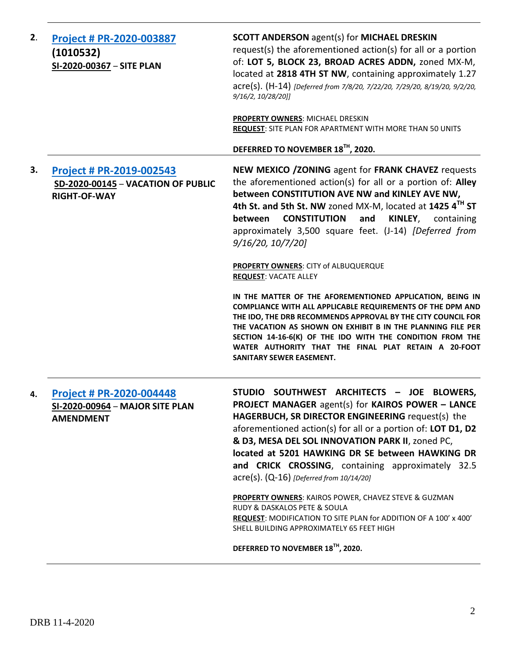| 2. | Project # PR-2020-003887<br>(1010532)<br>SI-2020-00367 - SITE PLAN                           | <b>SCOTT ANDERSON agent(s) for MICHAEL DRESKIN</b><br>request(s) the aforementioned action(s) for all or a portion<br>of: LOT 5, BLOCK 23, BROAD ACRES ADDN, zoned MX-M,<br>located at 2818 4TH ST NW, containing approximately 1.27<br>acre(s). (H-14) [Deferred from 7/8/20, 7/22/20, 7/29/20, 8/19/20, 9/2/20,<br>9/16/2, 10/28/20]]                                                                                                 |
|----|----------------------------------------------------------------------------------------------|-----------------------------------------------------------------------------------------------------------------------------------------------------------------------------------------------------------------------------------------------------------------------------------------------------------------------------------------------------------------------------------------------------------------------------------------|
|    |                                                                                              | PROPERTY OWNERS: MICHAEL DRESKIN<br><b>REQUEST:</b> SITE PLAN FOR APARTMENT WITH MORE THAN 50 UNITS                                                                                                                                                                                                                                                                                                                                     |
|    |                                                                                              | DEFERRED TO NOVEMBER 18TH, 2020.                                                                                                                                                                                                                                                                                                                                                                                                        |
| 3. | <b>Project # PR-2019-002543</b><br>SD-2020-00145 - VACATION OF PUBLIC<br><b>RIGHT-OF-WAY</b> | NEW MEXICO / ZONING agent for FRANK CHAVEZ requests<br>the aforementioned action(s) for all or a portion of: Alley<br>between CONSTITUTION AVE NW and KINLEY AVE NW,<br>4th St. and 5th St. NW zoned MX-M, located at 1425 4TH ST<br><b>CONSTITUTION</b><br>and<br>KINLEY,<br>between<br>containing<br>approximately 3,500 square feet. (J-14) [Deferred from<br>$9/16/20$ , $10/7/20$ ]                                                |
|    |                                                                                              | <b>PROPERTY OWNERS: CITY of ALBUQUERQUE</b><br><b>REQUEST: VACATE ALLEY</b>                                                                                                                                                                                                                                                                                                                                                             |
|    |                                                                                              | IN THE MATTER OF THE AFOREMENTIONED APPLICATION, BEING IN<br>COMPLIANCE WITH ALL APPLICABLE REQUIREMENTS OF THE DPM AND<br>THE IDO, THE DRB RECOMMENDS APPROVAL BY THE CITY COUNCIL FOR<br>THE VACATION AS SHOWN ON EXHIBIT B IN THE PLANNING FILE PER<br>SECTION 14-16-6(K) OF THE IDO WITH THE CONDITION FROM THE<br>WATER AUTHORITY THAT THE FINAL PLAT RETAIN A 20-FOOT<br><b>SANITARY SEWER EASEMENT.</b>                          |
| 4. | <b>Project # PR-2020-004448</b><br>SI-2020-00964 - MAJOR SITE PLAN<br><b>AMENDMENT</b>       | STUDIO SOUTHWEST ARCHITECTS - JOE BLOWERS,<br>PROJECT MANAGER agent(s) for KAIROS POWER - LANCE<br>HAGERBUCH, SR DIRECTOR ENGINEERING request(s) the<br>aforementioned action(s) for all or a portion of: LOT D1, D2<br>& D3, MESA DEL SOL INNOVATION PARK II, zoned PC,<br>located at 5201 HAWKING DR SE between HAWKING DR<br>and CRICK CROSSING, containing approximately 32.5<br>$\text{acre}(s)$ . (Q-16) [Deferred from 10/14/20] |
|    |                                                                                              | <b>PROPERTY OWNERS: KAIROS POWER, CHAVEZ STEVE &amp; GUZMAN</b><br>RUDY & DASKALOS PETE & SOULA<br><b>REQUEST:</b> MODIFICATION TO SITE PLAN for ADDITION OF A 100' x 400'<br>SHELL BUILDING APPROXIMATELY 65 FEET HIGH                                                                                                                                                                                                                 |
|    |                                                                                              | DEFERRED TO NOVEMBER 18 <sup>TH</sup> , 2020.                                                                                                                                                                                                                                                                                                                                                                                           |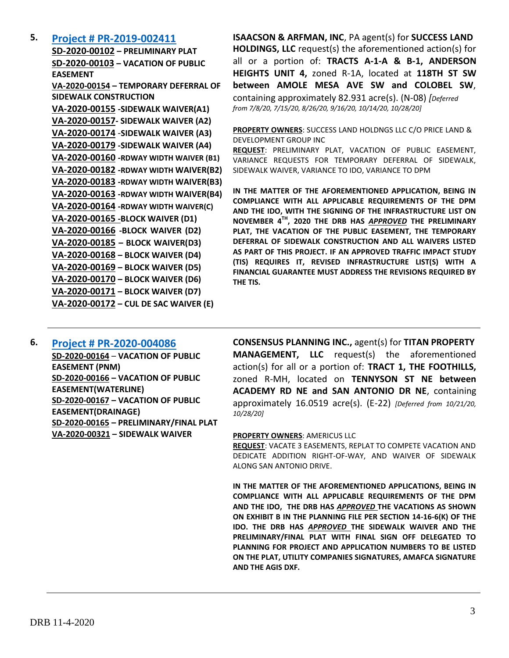## **5. [Project # PR-2019-002411](http://data.cabq.gov/government/planning/DRB/PR-2019-002411/DRB%20Submittals/PR-2019-002411_Sept_16_2020_Supplemental/Application/)**

**SD-2020-00102 – PRELIMINARY PLAT SD-2020-00103 – VACATION OF PUBLIC EASEMENT VA-2020-00154 – TEMPORARY DEFERRAL OF SIDEWALK CONSTRUCTION VA-2020-00155 -SIDEWALK WAIVER(A1) VA-2020-00157- SIDEWALK WAIVER (A2) VA-2020-00174** -**SIDEWALK WAIVER (A3) VA-2020-00179 -SIDEWALK WAIVER (A4) VA-2020-00160 -RDWAY WIDTH WAIVER (B1) VA-2020-00182 -RDWAY WIDTH WAIVER(B2) VA-2020-00183 -RDWAY WIDTH WAIVER(B3) VA-2020-00163 -RDWAY WIDTH WAIVER(B4) VA-2020-00164 -RDWAY WIDTH WAIVER(C) VA-2020-00165 -BLOCK WAIVER (D1) VA-2020-00166 -BLOCK WAIVER (D2) VA-2020-00185 – BLOCK WAIVER(D3) VA-2020-00168 – BLOCK WAIVER (D4) VA-2020-00169 – BLOCK WAIVER (D5) VA-2020-00170 – BLOCK WAIVER (D6) VA-2020-00171 – BLOCK WAIVER (D7) VA-2020-00172 – CUL DE SAC WAIVER (E)**

**ISAACSON & ARFMAN, INC**, PA agent(s) for **SUCCESS LAND HOLDINGS, LLC** request(s) the aforementioned action(s) for all or a portion of: **TRACTS A-1-A & B-1, ANDERSON HEIGHTS UNIT 4,** zoned R-1A, located at **118TH ST SW between AMOLE MESA AVE SW and COLOBEL SW**, containing approximately 82.931 acre(s). (N-08) *[Deferred from 7/8/20, 7/15/20, 8/26/20, 9/16/20, 10/14/20, 10/28/20]*

**PROPERTY OWNERS**: SUCCESS LAND HOLDNGS LLC C/O PRICE LAND & DEVELOPMENT GROUP INC

**REQUEST**: PRELIMINARY PLAT, VACATION OF PUBLIC EASEMENT, VARIANCE REQUESTS FOR TEMPORARY DEFERRAL OF SIDEWALK, SIDEWALK WAIVER, VARIANCE TO IDO, VARIANCE TO DPM

**IN THE MATTER OF THE AFOREMENTIONED APPLICATION, BEING IN COMPLIANCE WITH ALL APPLICABLE REQUIREMENTS OF THE DPM AND THE IDO, WITH THE SIGNING OF THE INFRASTRUCTURE LIST ON NOVEMBER 4TH, 2020 THE DRB HAS** *APPROVED* **THE PRELIMINARY PLAT, THE VACATION OF THE PUBLIC EASEMENT, THE TEMPORARY DEFERRAL OF SIDEWALK CONSTRUCTION AND ALL WAIVERS LISTED AS PART OF THIS PROJECT. IF AN APPROVED TRAFFIC IMPACT STUDY (TIS) REQUIRES IT, REVISED INFRASTRUCTURE LIST(S) WITH A FINANCIAL GUARANTEE MUST ADDRESS THE REVISIONS REQUIRED BY THE TIS.**

# **6. [Project # PR-2020-004086](http://data.cabq.gov/government/planning/DRB/PR-2020-004086/DRB%20Submittals/PR-2020-004086_Oct_21_2020/Application/)**

**SD-2020-00164** – **VACATION OF PUBLIC EASEMENT (PNM) SD-2020-00166 – VACATION OF PUBLIC EASEMENT(WATERLINE) SD-2020-00167 – VACATION OF PUBLIC EASEMENT(DRAINAGE) SD-2020-00165 – PRELIMINARY/FINAL PLAT VA-2020-00321 – SIDEWALK WAIVER**

**CONSENSUS PLANNING INC.,** agent(s) for **TITAN PROPERTY MANAGEMENT, LLC** request(s) the aforementioned action(s) for all or a portion of: **TRACT 1, THE FOOTHILLS,**  zoned R-MH, located on **TENNYSON ST NE between ACADEMY RD NE and SAN ANTONIO DR NE**, containing approximately 16.0519 acre(s). (E-22) *[Deferred from 10/21/20, 10/28/20]*

#### **PROPERTY OWNERS**: AMERICUS LLC

**REQUEST**: VACATE 3 EASEMENTS, REPLAT TO COMPETE VACATION AND DEDICATE ADDITION RIGHT-OF-WAY, AND WAIVER OF SIDEWALK ALONG SAN ANTONIO DRIVE.

**IN THE MATTER OF THE AFOREMENTIONED APPLICATIONS, BEING IN COMPLIANCE WITH ALL APPLICABLE REQUIREMENTS OF THE DPM AND THE IDO, THE DRB HAS** *APPROVED* **THE VACATIONS AS SHOWN ON EXHIBIT B IN THE PLANNING FILE PER SECTION 14-16-6(K) OF THE IDO. THE DRB HAS** *APPROVED* **THE SIDEWALK WAIVER AND THE PRELIMINARY/FINAL PLAT WITH FINAL SIGN OFF DELEGATED TO PLANNING FOR PROJECT AND APPLICATION NUMBERS TO BE LISTED ON THE PLAT, UTILITY COMPANIES SIGNATURES, AMAFCA SIGNATURE AND THE AGIS DXF.**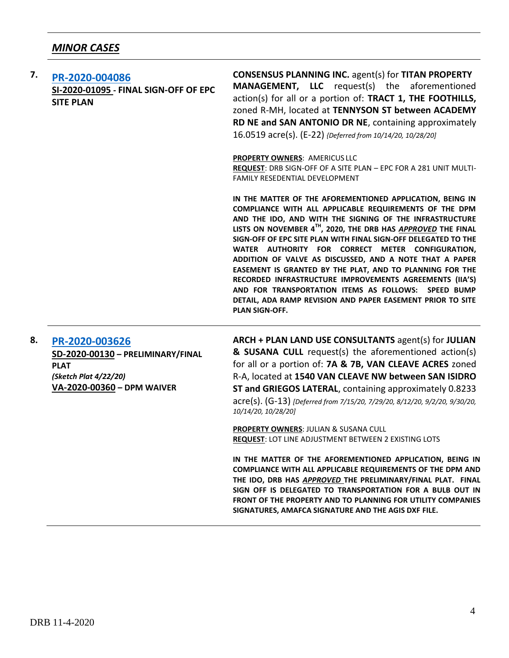| 7. | PR-2020-004086<br>SI-2020-01095 - FINAL SIGN-OFF OF EPC<br><b>SITE PLAN</b> | <b>CONSENSUS PLANNING INC. agent(s) for TITAN PROPERTY</b><br><b>MANAGEMENT, LLC</b> request(s) the aforementioned<br>action(s) for all or a portion of: TRACT 1, THE FOOTHILLS,<br>zoned R-MH, located at TENNYSON ST between ACADEMY<br>RD NE and SAN ANTONIO DR NE, containing approximately<br>16.0519 acre(s). (E-22) {Deferred from 10/14/20, 10/28/20]                                                                                                                                                                                                                                                                                                                                                    |
|----|-----------------------------------------------------------------------------|------------------------------------------------------------------------------------------------------------------------------------------------------------------------------------------------------------------------------------------------------------------------------------------------------------------------------------------------------------------------------------------------------------------------------------------------------------------------------------------------------------------------------------------------------------------------------------------------------------------------------------------------------------------------------------------------------------------|
|    |                                                                             | PROPERTY OWNERS: AMERICUS LLC<br><b>REQUEST: DRB SIGN-OFF OF A SITE PLAN - EPC FOR A 281 UNIT MULTI-</b><br><b>FAMILY RESEDENTIAL DEVELOPMENT</b>                                                                                                                                                                                                                                                                                                                                                                                                                                                                                                                                                                |
|    |                                                                             | IN THE MATTER OF THE AFOREMENTIONED APPLICATION, BEING IN<br>COMPLIANCE WITH ALL APPLICABLE REQUIREMENTS OF THE DPM<br>AND THE IDO, AND WITH THE SIGNING OF THE INFRASTRUCTURE<br>LISTS ON NOVEMBER 4 <sup>TH</sup> , 2020, THE DRB HAS APPROVED THE FINAL<br>SIGN-OFF OF EPC SITE PLAN WITH FINAL SIGN-OFF DELEGATED TO THE<br>WATER AUTHORITY FOR CORRECT METER CONFIGURATION,<br>ADDITION OF VALVE AS DISCUSSED, AND A NOTE THAT A PAPER<br>EASEMENT IS GRANTED BY THE PLAT, AND TO PLANNING FOR THE<br>RECORDED INFRASTRUCTURE IMPROVEMENTS AGREEMENTS (IIA'S)<br>AND FOR TRANSPORTATION ITEMS AS FOLLOWS: SPEED BUMP<br>DETAIL, ADA RAMP REVISION AND PAPER EASEMENT PRIOR TO SITE<br><b>PLAN SIGN-OFF.</b> |

### **8. [PR-2020-003626](http://data.cabq.gov/government/planning/DRB/PR-2020-003626/DRB%20Submittals/PR-2020-003626_Oct_28_2020/Application/PR%202020-003626%20DPM%20WAIVER.pdf)**

**SD-2020-00130 – PRELIMINARY/FINAL PLAT** *(Sketch Plat 4/22/20)* **VA-2020-00360 – DPM WAIVER**

**ARCH + PLAN LAND USE CONSULTANTS** agent(s) for **JULIAN & SUSANA CULL** request(s) the aforementioned action(s) for all or a portion of: **7A & 7B, VAN CLEAVE ACRES** zoned R-A, located at **1540 VAN CLEAVE NW between SAN ISIDRO ST and GRIEGOS LATERAL**, containing approximately 0.8233 acre(s). (G-13) *[Deferred from 7/15/20, 7/29/20, 8/12/20, 9/2/20, 9/30/20, 10/14/20, 10/28/20]*

**PROPERTY OWNERS**: JULIAN & SUSANA CULL **REQUEST**: LOT LINE ADJUSTMENT BETWEEN 2 EXISTING LOTS

**IN THE MATTER OF THE AFOREMENTIONED APPLICATION, BEING IN COMPLIANCE WITH ALL APPLICABLE REQUIREMENTS OF THE DPM AND THE IDO, DRB HAS** *APPROVED* **THE PRELIMINARY/FINAL PLAT. FINAL SIGN OFF IS DELEGATED TO TRANSPORTATION FOR A BULB OUT IN FRONT OF THE PROPERTY AND TO PLANNING FOR UTILITY COMPANIES SIGNATURES, AMAFCA SIGNATURE AND THE AGIS DXF FILE.**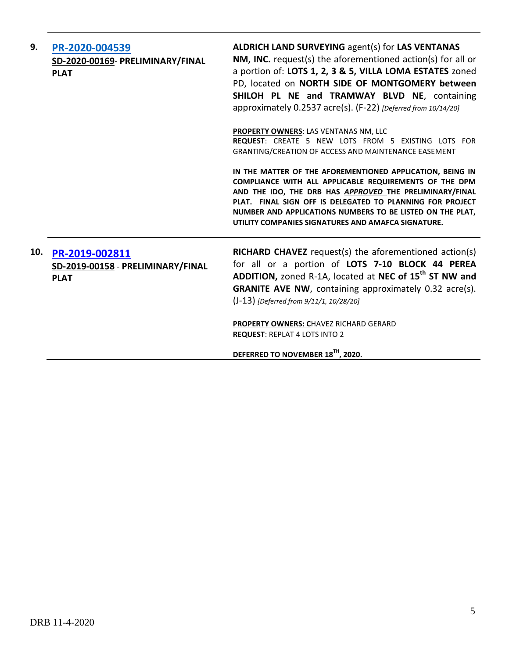| 9.  | PR-2020-004539<br>SD-2020-00169- PRELIMINARY/FINAL<br><b>PLAT</b>  | <b>ALDRICH LAND SURVEYING agent(s) for LAS VENTANAS</b><br>NM, INC. request(s) the aforementioned action(s) for all or<br>a portion of: LOTS 1, 2, 3 & 5, VILLA LOMA ESTATES zoned<br>PD, located on NORTH SIDE OF MONTGOMERY between<br>SHILOH PL NE and TRAMWAY BLVD NE, containing<br>approximately 0.2537 acre(s). (F-22) [Deferred from 10/14/20]         |
|-----|--------------------------------------------------------------------|----------------------------------------------------------------------------------------------------------------------------------------------------------------------------------------------------------------------------------------------------------------------------------------------------------------------------------------------------------------|
|     |                                                                    | PROPERTY OWNERS: LAS VENTANAS NM, LLC<br>REQUEST: CREATE 5 NEW LOTS FROM 5 EXISTING LOTS FOR<br>GRANTING/CREATION OF ACCESS AND MAINTENANCE EASEMENT                                                                                                                                                                                                           |
|     |                                                                    | IN THE MATTER OF THE AFOREMENTIONED APPLICATION, BEING IN<br>COMPLIANCE WITH ALL APPLICABLE REQUIREMENTS OF THE DPM<br>AND THE IDO, THE DRB HAS APPROVED THE PRELIMINARY/FINAL<br>PLAT. FINAL SIGN OFF IS DELEGATED TO PLANNING FOR PROJECT<br>NUMBER AND APPLICATIONS NUMBERS TO BE LISTED ON THE PLAT,<br>UTILITY COMPANIES SIGNATURES AND AMAFCA SIGNATURE. |
| 10. | PR-2019-002811<br>SD-2019-00158 - PRELIMINARY/FINAL<br><b>PLAT</b> | <b>RICHARD CHAVEZ</b> request(s) the aforementioned action(s)<br>for all or a portion of LOTS 7-10 BLOCK 44 PEREA<br>ADDITION, zoned R-1A, located at NEC of 15 <sup>th</sup> ST NW and<br><b>GRANITE AVE NW, containing approximately 0.32 acre(s).</b><br>(J-13) [Deferred from 9/11/1, 10/28/20]                                                            |
|     |                                                                    | PROPERTY OWNERS: CHAVEZ RICHARD GERARD<br><b>REQUEST: REPLAT 4 LOTS INTO 2</b>                                                                                                                                                                                                                                                                                 |
|     |                                                                    | DEFERRED TO NOVEMBER 18 <sup>TH</sup> , 2020.                                                                                                                                                                                                                                                                                                                  |